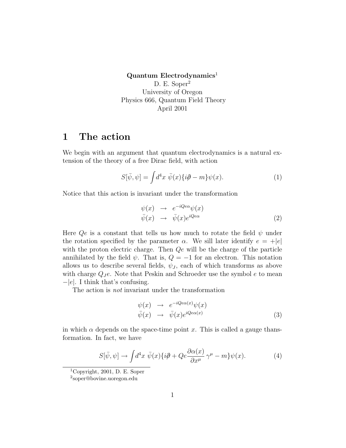#### $Quantum$  Electrodynamics<sup>1</sup> D. E. Soper<sup>2</sup> University of Oregon Physics 666, Quantum Field Theory April 2001

### 1 The action

We begin with an argument that quantum electrodynamics is a natural extension of the theory of a free Dirac field, with action

$$
S[\bar{\psi}, \psi] = \int d^4x \ \bar{\psi}(x) \{i\partial - m\} \psi(x). \tag{1}
$$

Notice that this action is invariant under the transformation

$$
\psi(x) \rightarrow e^{-iQe\alpha}\psi(x) \n\bar{\psi}(x) \rightarrow \bar{\psi}(x)e^{iQe\alpha}
$$
\n(2)

Here  $Qe$  is a constant that tells us how much to rotate the field  $\psi$  under the rotation specified by the parameter  $\alpha$ . We sill later identify  $e = +|e|$ with the proton electric charge. Then  $Qe$  will be the charge of the particle annihilated by the field  $\psi$ . That is,  $Q = -1$  for an electron. This notation allows us to describe several fields,  $\psi_J$ , each of which transforms as above with charge  $Q_J e$ . Note that Peskin and Schroeder use the symbol  $e$  to mean −|e|. I think that's confusing.

The action is not invariant under the transformation

$$
\psi(x) \rightarrow e^{-iQe\alpha(x)}\psi(x) \n\bar{\psi}(x) \rightarrow \bar{\psi}(x)e^{iQe\alpha(x)}
$$
\n(3)

in which  $\alpha$  depends on the space-time point x. This is called a gauge than formation. In fact, we have

$$
S[\bar{\psi}, \psi] \to \int d^4x \ \bar{\psi}(x) \{i\partial + Qe \frac{\partial \alpha(x)}{\partial x^\mu} \gamma^\mu - m\} \psi(x). \tag{4}
$$

<sup>1</sup>Copyright, 2001, D. E. Soper

<sup>2</sup> soper@bovine.uoregon.edu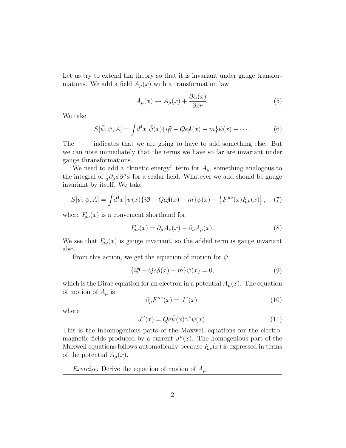Let us try to extend tha theory so that it is invariant under gauge transformations. We add a field  $A_\mu(x)$  with a transformation law

$$
A_{\mu}(x) \to A_{\mu}(x) + \frac{\partial \alpha(x)}{\partial x^{\mu}}.
$$
 (5)

We take

$$
S[\bar{\psi}, \psi, A] = \int d^4x \ \bar{\psi}(x) \{i\partial - QeA(x) - m\} \psi(x) + \cdots. \tag{6}
$$

The  $+\cdots$  indicates that we are going to have to add something else. But we can note immediately that the terms we have so far are invariant under gauge thransformations.

We need to add a "kinetic energy" term for  $A_\mu$ , something analogous to the integral of  $\frac{1}{2}\partial_{\mu}\phi\partial^{\mu}\phi$  for a scalar field. Whatever we add should be gauge invariant by itself. We take

$$
S[\bar{\psi}, \psi, A] = \int d^4x \left[ \bar{\psi}(x) \{ i\partial - QeA(x) - m \} \psi(x) - \frac{1}{4} F^{\mu\nu}(x) F_{\mu\nu}(x) \right], \quad (7)
$$

where  $F_{\mu\nu}(x)$  is a convenient shorthand for

$$
F_{\mu\nu}(x) = \partial_{\mu}A_{\nu}(x) - \partial_{\nu}A_{\mu}(x). \tag{8}
$$

We see that  $F_{\mu\nu}(x)$  is gauge invariant, so the added term is gauge invariant also.

From this action, we get the equation of motion for  $\psi$ :

$$
{i\partial - QeA(x) - m}\psi(x) = 0,
$$
\n(9)

which is the Dirac equation for an electron in a potential  $A_\mu(x)$ . The equation of motion of  $A_\mu$  is

$$
\partial_{\mu}F^{\mu\nu}(x) = J^{\nu}(x),\tag{10}
$$

where

$$
J^{\nu}(x) = Qe\bar{\psi}(x)\gamma^{\nu}\psi(x).
$$
 (11)

This is the inhomogenious parts of the Maxwell equations for the electromagnetic fields produced by a current  $J^{\nu}(x)$ . The homogenious part of the Maxwell equations follows automatically because  $F_{\mu\nu}(x)$  is expressed in terms of the potential  $A_\mu(x)$ .

*Exercise:* Derive the equation of motion of  $A_\mu$ .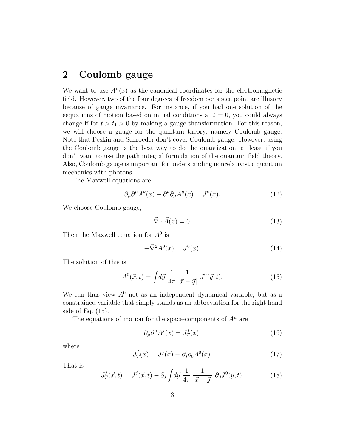# 2 Coulomb gauge

We want to use  $A^{\mu}(x)$  as the canonical coordinates for the electromagnetic field. However, two of the four degrees of freedom per space point are illusory because of gauge invariance. For instance, if you had one solution of the eequations of motion based on initial conditions at  $t = 0$ , you could always change if for  $t > t_1 > 0$  by making a gauge thansformation. For this reason, we will choose a gauge for the quantum theory, namely Coulomb gauge. Note that Peskin and Schroeder don't cover Coulomb gauge. However, using the Coulomb gauge is the best way to do the quantization, at least if you don't want to use the path integral formulation of the quantum field theory. Also, Coulomb gauge is important for understanding nonrelativistic quantum mechanics with photons.

The Maxwell equations are

$$
\partial_{\mu}\partial^{\mu}A^{\nu}(x) - \partial^{\nu}\partial_{\mu}A^{\mu}(x) = J^{\nu}(x). \tag{12}
$$

We choose Coulomb gauge,

$$
\vec{\nabla} \cdot \vec{A}(x) = 0. \tag{13}
$$

Then the Maxwell equation for  $A^0$  is

$$
-\vec{\nabla}^2 A^0(x) = J^0(x). \tag{14}
$$

The solution of this is

$$
A^{0}(\vec{x},t) = \int d\vec{y} \frac{1}{4\pi} \frac{1}{|\vec{x} - \vec{y}|} J^{0}(\vec{y},t).
$$
 (15)

We can thus view  $A^0$  not as an independent dynamical variable, but as a constrained variable that simply stands as an abbreviation for the right hand side of Eq. (15).

The equations of motion for the space-components of  $A^{\mu}$  are

$$
\partial_{\mu}\partial^{\mu}A^{j}(x) = J_{T}^{j}(x), \qquad (16)
$$

where

$$
J_T^j(x) = J^j(x) - \partial_j \partial_0 A^0(x). \tag{17}
$$

That is

$$
J_T^j(\vec{x},t) = J^j(\vec{x},t) - \partial_j \int d\vec{y} \, \frac{1}{4\pi} \, \frac{1}{|\vec{x} - \vec{y}|} \, \partial_0 J^0(\vec{y},t). \tag{18}
$$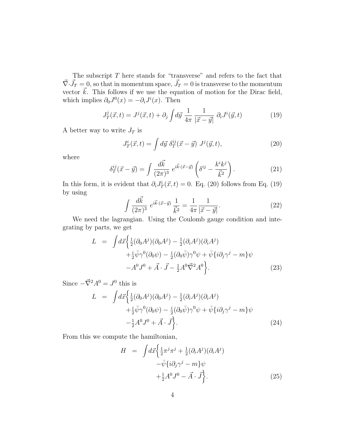The subscript  $T$  here stands for "transverse" and refers to the fact that  $\vec{\nabla} \cdot \vec{J}_T = 0$ , so that in momentum space,  $\vec{J}_T = 0$  is transverse to the momentum vector  $\vec{k}$ . This follows if we use the equation of motion for the Dirac field, which implies  $\partial_0 J^0(x) = -\partial_i J^i(x)$ . Then

$$
J_T^j(\vec{x},t) = J^j(\vec{x},t) + \partial_j \int d\vec{y} \frac{1}{4\pi} \frac{1}{|\vec{x} - \vec{y}|} \partial_i J^i(\vec{y},t)
$$
(19)

A better way to write  $J_T$  is

$$
J_T^i(\vec{x},t) = \int d\vec{y} \ \delta_T^{ij}(\vec{x} - \vec{y}) \ J^j(\vec{y},t), \tag{20}
$$

where

$$
\delta_T^{ij}(\vec{x} - \vec{y}) = \int \frac{d\vec{k}}{(2\pi)^3} e^{i\vec{k}\cdot(\vec{x} - \vec{y})} \left(\delta^{ij} - \frac{k^i k^j}{\vec{k}^2}\right).
$$
 (21)

In this form, it is evident that  $\partial_i J_T^i(\vec{x}, t) = 0$ . Eq. (20) follows from Eq. (19) by using

$$
\int \frac{d\vec{k}}{(2\pi)^3} e^{i\vec{k}\cdot(\vec{x}-\vec{y})} \frac{1}{\vec{k}^2} = \frac{1}{4\pi} \frac{1}{|\vec{x}-\vec{y}|}.
$$
 (22)

We need the lagrangian. Using the Coulomb gauge condition and integrating by parts, we get

$$
L = \int d\vec{x} \left\{ \frac{1}{2} (\partial_0 A^j)(\partial_0 A^j) - \frac{1}{2} (\partial_i A^j)(\partial_i A^j) + \frac{i}{2} \bar{\psi} \gamma^0 (\partial_0 \psi) - \frac{i}{2} (\partial_0 \bar{\psi}) \gamma^0 \psi + \bar{\psi} \{ i \partial_j \gamma^j - m \} \psi - A^0 J^0 + \vec{A} \cdot \vec{J} - \frac{1}{2} A^0 \vec{\nabla}^2 A^0 \right\}.
$$
 (23)

Since  $-\vec{\nabla}^2 A^0 = J^0$  this is

$$
L = \int d\vec{x} \left\{ \frac{1}{2} (\partial_0 A^j)(\partial_0 A^j) - \frac{1}{2} (\partial_i A^j)(\partial_i A^j) + \frac{i}{2} \bar{\psi} \gamma^0 (\partial_0 \psi) - \frac{i}{2} (\partial_0 \bar{\psi}) \gamma^0 \psi + \bar{\psi} \{ i \partial_j \gamma^j - m \} \psi - \frac{1}{2} A^0 J^0 + \vec{A} \cdot \vec{J} \right\}.
$$
 (24)

From this we compute the hamiltonian,

$$
H = \int d\vec{x} \left\{ \frac{1}{2} \pi^j \pi^j + \frac{1}{2} (\partial_i A^j) (\partial_i A^j) - \bar{\psi} \{ i \partial_j \gamma^j - m \} \psi + \frac{1}{2} A^0 J^0 - \vec{A} \cdot \vec{J} \right\}.
$$
 (25)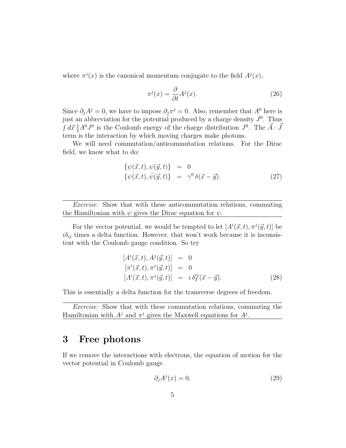where  $\pi^{j}(x)$  is the canonical momentum conjugate to the field  $A^{j}(x)$ ,

$$
\pi^{j}(x) = \frac{\partial}{\partial t} A^{j}(x).
$$
\n(26)

Since  $\partial_j A^j = 0$ , we have to impose  $\partial_j \pi^j = 0$ . Also, remember that  $A^0$  here is just an abbreviation for the potential produced by a charge density  $J^0$ . Thus  $\int d\vec{x} \frac{1}{2} A^0 J^0$  is the Coulomb energy of the charge distribution  $J^0$ . The  $\vec{A} \cdot \vec{J}$ term is the interaction by which moving charges make photons.

We will need commutation/anticommutation relations. For the Dirac field, we know what to do:

$$
\begin{aligned}\n\{\psi(\vec{x},t),\psi(\vec{y},t)\} &= 0\\ \{\psi(\vec{x},t),\bar{\psi}(\vec{y},t)\} &= \gamma^0 \,\delta(\vec{x}-\vec{y}).\n\end{aligned} \tag{27}
$$

Exercise: Show that with these anticommutation relations, commuting the Hamiltonian with  $\psi$  gives the Dirac equation for  $\psi$ .

For the vector potential, we would be tempted to let  $[A^{i}(\vec{x}, t), \pi^{j}(\vec{y}, t)]$  be  $i\delta_{ij}$  times a delta function. However, that won't work because it is inconsistent with the Coulomb gauge condition. So try

$$
[Ai(\vec{x}, t), Aj(\vec{y}, t)] = 0\n[\pii(\vec{x}, t), \pij(\vec{y}, t)] = 0\n[Ai(\vec{x}, t), \pij(\vec{y}, t)] = i \deltai jT(\vec{x} - \vec{y}).
$$
\n(28)

This is essentially a delta function for the transverse degrees of freedom.

Exercise: Show that with these commutation relations, commuting the Hamiltonian with  $A^j$  and  $\pi^j$  gives the Maxwell equations for  $A^j$ .

# 3 Free photons

If we remove the interactions with electrons, the equation of motion for the vector potential in Coulomb gauge

$$
\partial_j A^j(x) = 0,\t\t(29)
$$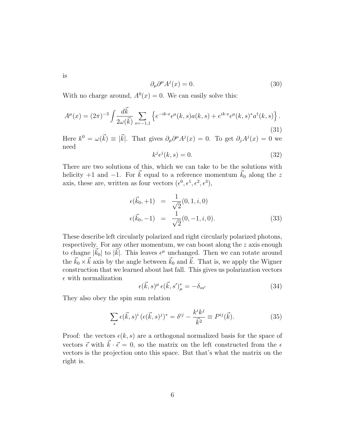is

$$
\partial_{\mu}\partial^{\mu}A^{j}(x) = 0. \tag{30}
$$

With no charge around,  $A^0(x) = 0$ . We can easily solve this:

$$
A^{\mu}(x) = (2\pi)^{-3} \int \frac{d\vec{k}}{2\omega(\vec{k})} \sum_{s=-1,1} \left\{ e^{-ik \cdot x} \epsilon^{\mu}(k,s) a(k,s) + e^{ik \cdot x} \epsilon^{\mu}(k,s)^{*} a^{\dagger}(k,s) \right\}.
$$
\n(31)

Here  $k^0 = \omega(\vec{k}) \equiv |\vec{k}|$ . That gives  $\partial_\mu \partial^\mu A^j(x) = 0$ . To get  $\partial_j A^j(x) = 0$  we need

$$
k^j \epsilon^j(k, s) = 0. \tag{32}
$$

There are two solutions of this, which we can take to be the solutions with helicity +1 and −1. For  $\vec{k}$  equal to a reference momentum  $\vec{k}_0$  along the z axis, these are, written as four vectors  $(\epsilon^0, \epsilon^1, \epsilon^2, \epsilon^3)$ ,

$$
\epsilon(\vec{k}_0, +1) = \frac{1}{\sqrt{2}}(0, 1, i, 0) \n\epsilon(\vec{k}_0, -1) = \frac{1}{\sqrt{2}}(0, -1, i, 0).
$$
\n(33)

These describe left circularly polarized and right circularly polarized photons, respectively. For any other momentum, we can boost along the z axis enough to chagne  $|\vec{k_0}|$  to  $|\vec{k}|$ . This leaves  $\epsilon^{\mu}$  unchanged. Then we can rotate around the  $\vec{k}_0 \times \vec{k}$  axis by the angle between  $\vec{k}_0$  and  $\vec{k}$ . That is, we apply the Wigner construction that we learned about last fall. This gives us polarization vectors  $\epsilon$  with normalization

$$
\epsilon(\vec{k},s)^{\mu}\epsilon(\vec{k},s')_{\mu}^{*}=-\delta_{ss'}
$$
\n(34)

They also obey the spin sum relation

$$
\sum_{s} \epsilon(\vec{k}, s)^{i} \left( \epsilon(\vec{k}, s)^{j} \right)^{*} = \delta^{ij} - \frac{k^{i} k^{j}}{\vec{k}^{2}} \equiv P^{ij}(\vec{k}). \tag{35}
$$

Proof: the vectors  $\epsilon(k, s)$  are a orthogonal normalized basis for the space of vectors  $\vec{\epsilon}$  with  $\vec{k} \cdot \vec{\epsilon} = 0$ , so the matrix on the left constructed from the  $\epsilon$ vectors is the projection onto this space. But that's what the matrix on the right is.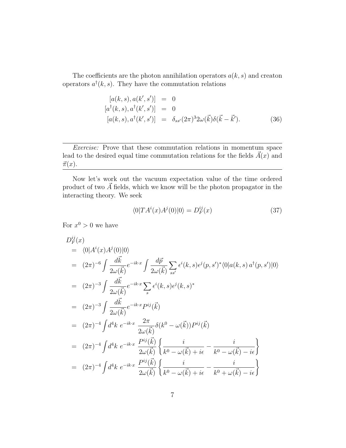The coefficients are the photon annihilation operators  $a(k, s)$  and creaton operators  $a^{\dagger}(k, s)$ . They have the commutation relations

$$
[a(k, s), a(k', s')] = 0
$$
  
\n
$$
[a^{\dagger}(k, s), a^{\dagger}(k', s')] = 0
$$
  
\n
$$
[a(k, s), a^{\dagger}(k', s')] = \delta_{ss'}(2\pi)^{3}2\omega(\vec{k})\delta(\vec{k} - \vec{k}').
$$
\n(36)

Exercise: Prove that these commutation relations in momentum space lead to the desired equal time commutation relations for the fields  $\vec{A}(x)$  and  $\vec{\pi}(x)$ .

Now let's work out the vacuum expectation value of the time ordered product of two  $\vec{A}$  fields, which we know will be the photon propagator in the interacting theory. We seek

$$
\langle 0|TA^{i}(x)A^{j}(0)|0\rangle = D_{F}^{ij}(x)
$$
\n(37)

For  $x^0 > 0$  we have

$$
D_{F}^{ij}(x) = \langle 0|A^{i}(x)A^{j}(0)|0\rangle
$$
  
\n
$$
= (2\pi)^{-6} \int \frac{d\vec{k}}{2\omega(\vec{k})} e^{-ik \cdot x} \int \frac{d\vec{p}}{2\omega(\vec{k})} \sum_{ss'} \epsilon^{i}(k, s) \epsilon^{j}(p, s')^{*} \langle 0|a(k, s) a^{\dagger}(p, s')|0\rangle
$$
  
\n
$$
= (2\pi)^{-3} \int \frac{d\vec{k}}{2\omega(\vec{k})} e^{-ik \cdot x} \sum_{s} \epsilon^{i}(k, s) \epsilon^{j}(k, s)^{*}
$$
  
\n
$$
= (2\pi)^{-3} \int \frac{d\vec{k}}{2\omega(\vec{k})} e^{-ik \cdot x} P^{ij}(\vec{k})
$$
  
\n
$$
= (2\pi)^{-4} \int d^{4}k e^{-ik \cdot x} \frac{2\pi}{2\omega(\vec{k})} \delta(k^{0} - \omega(\vec{k})) P^{ij}(\vec{k})
$$
  
\n
$$
= (2\pi)^{-4} \int d^{4}k e^{-ik \cdot x} \frac{P^{ij}(\vec{k})}{2\omega(\vec{k})} \left\{ \frac{i}{k^{0} - \omega(\vec{k}) + i\epsilon} - \frac{i}{k^{0} - \omega(\vec{k}) - i\epsilon} \right\}
$$
  
\n
$$
= (2\pi)^{-4} \int d^{4}k e^{-ik \cdot x} \frac{P^{ij}(\vec{k})}{2\omega(\vec{k})} \left\{ \frac{i}{k^{0} - \omega(\vec{k}) + i\epsilon} - \frac{i}{k^{0} + \omega(\vec{k}) - i\epsilon} \right\}
$$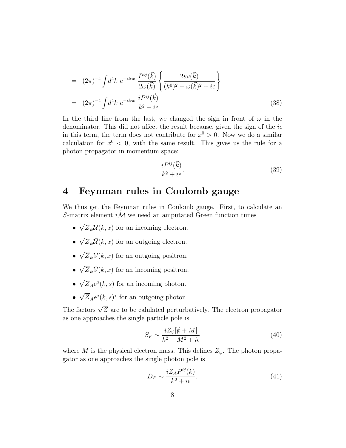$$
= (2\pi)^{-4} \int d^4k \ e^{-ik \cdot x} \frac{P^{ij}(\vec{k})}{2\omega(\vec{k})} \left\{ \frac{2i\omega(\vec{k})}{(k^0)^2 - \omega(\vec{k})^2 + i\epsilon} \right\}
$$
  

$$
= (2\pi)^{-4} \int d^4k \ e^{-ik \cdot x} \frac{iP^{ij}(\vec{k})}{k^2 + i\epsilon} \tag{38}
$$

In the third line from the last, we changed the sign in front of  $\omega$  in the denominator. This did not affect the result because, given the sign of the  $i\epsilon$ in this term, the term does not contribute for  $x^0 > 0$ . Now we do a similar calculation for  $x^0$  < 0, with the same result. This gives us the rule for a photon propagator in momentum space:

$$
\frac{iP^{ij}(\vec{k})}{k^2 + i\epsilon}.\tag{39}
$$

## 4 Feynman rules in Coulomb gauge

We thus get the Feynman rules in Coulomb gauge. First, to calculate an S-matrix element  $i\mathcal{M}$  we need an amputated Green function times

- √  $Z_{\psi} \mathcal{U}(k, x)$  for an incoming electron.
- $\sqrt{Z}_{\psi}\overline{\mathcal{U}}(k,x)$  for an outgoing electron.
- √  $Z_{\psi}$  $\mathcal{V}(k, x)$  for an outgoing positron.
- $\sqrt{Z}_{\psi}\bar{\mathcal{V}}(k,x)$  for an incoming positron.
- √  $\overline{Z}_A \epsilon^{\mu}(k, s)$  for an incoming photon.
- √  $\overline{Z}_A \epsilon^{\mu}(k,s)^*$  for an outgoing photon.

The factors  $\sqrt{Z}$  are to be calulated perturbatively. The electron propagator as one approaches the single particle pole is

$$
S_F \sim \frac{iZ_\psi[k+M]}{k^2 - M^2 + i\epsilon} \tag{40}
$$

where M is the physical electron mass. This defines  $Z_{\psi}$ . The photon propagator as one approaches the single photon pole is

$$
D_F \sim \frac{iZ_A P^{ij}(k)}{k^2 + i\epsilon}.\tag{41}
$$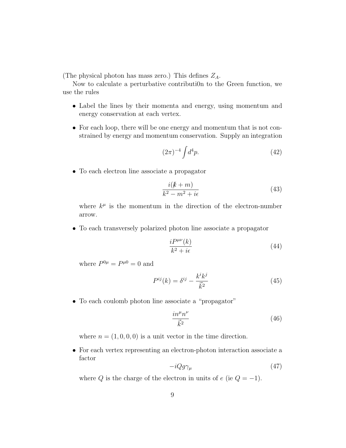(The physical photon has mass zero.) This defines  $Z_A$ .

Now to calculate a perturbative contributi0n to the Green function, we use the rules

- Label the lines by their momenta and energy, using momentum and energy conservation at each vertex.
- For each loop, there will be one energy and momentum that is not constrained by energy and momentum conservation. Supply an integration

$$
(2\pi)^{-4} \int d^4p. \tag{42}
$$

• To each electron line associate a propagator

$$
\frac{i(k+m)}{k^2 - m^2 + i\epsilon} \tag{43}
$$

where  $k^{\mu}$  is the momentum in the direction of the electron-number arrow.

• To each transversely polarized photon line associate a propagator

$$
\frac{iP^{\mu\nu}(k)}{k^2 + i\epsilon} \tag{44}
$$

where  $P^{0\mu} = P^{\mu 0} = 0$  and

$$
P^{ij}(k) = \delta^{ij} - \frac{k^i k^j}{\vec{k}^2} \tag{45}
$$

• To each coulomb photon line associate a "propagator"

$$
\frac{i n^{\mu} n^{\nu}}{\vec{k}^2} \tag{46}
$$

where  $n = (1, 0, 0, 0)$  is a unit vector in the time direction.

• For each vertex representing an electron-photon interaction associate a factor

$$
-iQg\gamma_{\mu} \tag{47}
$$

where Q is the charge of the electron in units of  $e$  (ie  $Q = -1$ ).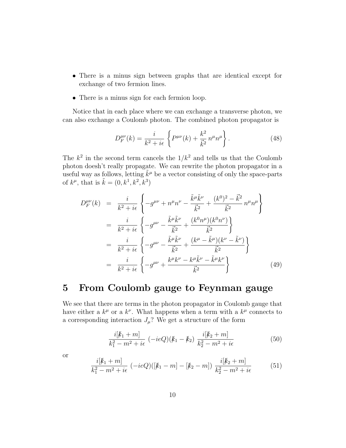- There is a minus sign between graphs that are identical except for exchange of two fermion lines.
- There is a minus sign for each fermion loop.

Notice that in each place where we can exchange a transverse photon, we can also exchange a Coulomb photon. The combined photon propagator is

$$
D_F^{\mu\nu}(k) = \frac{i}{k^2 + i\epsilon} \left\{ P^{\mu\nu}(k) + \frac{k^2}{\vec{k}^2} n^{\mu} n^{\mu} \right\}.
$$
 (48)

The  $k^2$  in the second term cancels the  $1/k^2$  and tells us that the Coulomb photon doesh't really propagate. We can rewrite the photon propagator in a useful way as follows, letting  $\tilde{k}^{\mu}$  be a vector consisting of only the space-parts of  $k^{\mu}$ , that is  $\tilde{k} = (0, k^1, k^2, k^3)$ 

$$
D_{F}^{\mu\nu}(k) = \frac{i}{k^{2} + i\epsilon} \left\{ -g^{\mu\nu} + n^{\mu}n^{\nu} - \frac{\tilde{k}^{\mu}\tilde{k}^{\nu}}{\vec{k}^{2}} + \frac{(k^{0})^{2} - \vec{k}^{2}}{\vec{k}^{2}} n^{\mu}n^{\mu} \right\}
$$
  
\n
$$
= \frac{i}{k^{2} + i\epsilon} \left\{ -g^{\mu\nu} - \frac{\tilde{k}^{\mu}\tilde{k}^{\nu}}{\vec{k}^{2}} + \frac{(k^{0}n^{\mu})(k^{0}n^{\nu})}{\vec{k}^{2}} \right\}
$$
  
\n
$$
= \frac{i}{k^{2} + i\epsilon} \left\{ -g^{\mu\nu} - \frac{\tilde{k}^{\mu}\tilde{k}^{\nu}}{\vec{k}^{2}} + \frac{(k^{\mu} - \tilde{k}^{\mu})(k^{\nu} - \tilde{k}^{\nu})}{\vec{k}^{2}} \right\}
$$
  
\n
$$
= \frac{i}{k^{2} + i\epsilon} \left\{ -g^{\mu\nu} + \frac{k^{\mu}k^{\nu} - k^{\mu}\tilde{k}^{\nu} - \tilde{k}^{\mu}k^{\nu}}{\vec{k}^{2}} \right\}
$$
(49)

# 5 From Coulomb gauge to Feynman gauge

We see that there are terms in the photon propagator in Coulomb gauge that have either a  $k^{\mu}$  or a  $k^{\nu}$ . What happens when a term with a  $k^{\mu}$  connects to a corresponding interaction  $J_\mu?$  We get a structure of the form

$$
\frac{i[k_1+m]}{k_1^2-m^2+i\epsilon} \left(-ieQ\right)(k_1-k_2) \frac{i[k_2+m]}{k_2^2-m^2+i\epsilon} \tag{50}
$$

or

$$
\frac{i[k_1+m]}{k_1^2 - m^2 + i\epsilon} \left( -ieQ\right) ([k_1 - m] - [k_2 - m]) \frac{i[k_2 + m]}{k_2^2 - m^2 + i\epsilon} \tag{51}
$$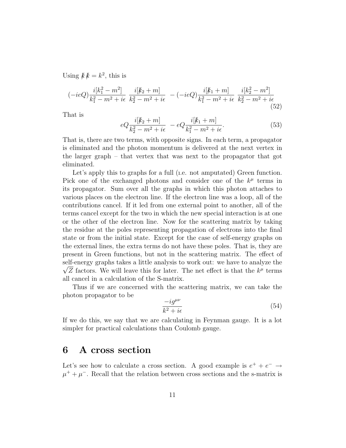Using  $k k = k^2$ , this is

$$
(-ieQ)\frac{i[k_1^2 - m^2]}{k_1^2 - m^2 + i\epsilon} \frac{i[k_2 + m]}{k_2^2 - m^2 + i\epsilon} - (-ieQ)\frac{i[k_1 + m]}{k_1^2 - m^2 + i\epsilon} \frac{i[k_2^2 - m^2]}{k_2^2 - m^2 + i\epsilon}
$$
(52)

That is

$$
eQ\frac{i[k_2+m]}{k_2^2 - m^2 + i\epsilon} - eQ\frac{i[k_1+m]}{k_1^2 - m^2 + i\epsilon}.
$$
\n(53)

That is, there are two terms, with opposite signs. In each term, a propagator is eliminated and the photon momentum is delivered at the next vertex in the larger graph – that vertex that was next to the propagator that got eliminated.

Let's apply this to graphs for a full (i.e. not amputated) Green function. Pick one of the exchanged photons and consider one of the  $k^{\mu}$  terms in its propagator. Sum over all the graphs in which this photon attaches to various places on the electron line. If the electron line was a loop, all of the contributions cancel. If it led from one external point to another, all of the terms cancel except for the two in which the new special interaction is at one or the other of the electron line. Now for the scattering matrix by taking the residue at the poles representing propagation of electrons into the final state or from the initial state. Except for the case of self-energy graphs on the external lines, the extra terms do not have these poles. That is, they are present in Green functions, but not in the scattering matrix. The effect of self-energy graphs takes a little analysis to work out: we have to analyze the  $\overline{Z}$  factors. We will leave this for later. The net effect is that the  $k^{\mu}$  terms all cancel in a calculation of the S-matrix.

Thus if we are concerned with the scattering matrix, we can take the photon propagator to be

$$
\frac{-ig^{\mu\nu}}{k^2 + i\epsilon} \tag{54}
$$

If we do this, we say that we are calculating in Feynman gauge. It is a lot simpler for practical calculations than Coulomb gauge.

#### 6 A cross section

Let's see how to calculate a cross section. A good example is  $e^+ + e^- \rightarrow$  $\mu^+ + \mu^-$ . Recall that the relation between cross sections and the s-matrix is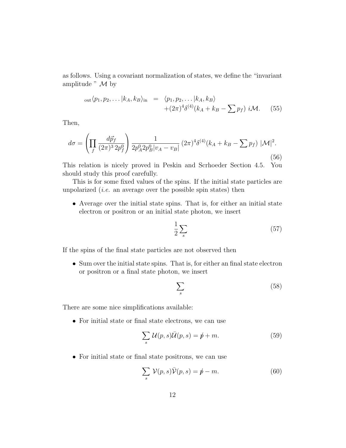as follows. Using a covariant normalization of states, we define the "invariant amplitude  $"$   $M$  by

out 
$$
\langle p_1, p_2, \dots | k_A, k_B \rangle_{\text{in}} = \langle p_1, p_2, \dots | k_A, k_B \rangle
$$
  
  $+ (2\pi)^4 \delta^{(4)}(k_A + k_B - \sum p_f) i \mathcal{M}.$  (55)

Then,

$$
d\sigma = \left(\prod_f \frac{d\vec{p}_f}{(2\pi)^3 2p_f^0}\right) \frac{1}{2p_A^0 2p_B^0 |v_A - v_B|} (2\pi)^4 \delta^{(4)}(k_A + k_B - \sum p_f) |\mathcal{M}|^2.
$$
\n(56)

This relation is nicely proved in Peskin and Scrhoeder Section 4.5. You should study this proof carefully.

This is for some fixed values of the spins. If the initial state particles are unpolarized *(i.e.* an average over the possible spin states) then

• Average over the initial state spins. That is, for either an initial state electron or positron or an initial state photon, we insert

$$
\frac{1}{2} \sum_{s} \tag{57}
$$

If the spins of the final state particles are not observed then

• Sum over the initial state spins. That is, for either an final state electron or positron or a final state photon, we insert

$$
\sum_{s} \tag{58}
$$

There are some nice simplifications available:

• For initial state or final state electrons, we can use

$$
\sum_{s} \mathcal{U}(p,s)\overline{\mathcal{U}}(p,s) = \rlap{\,/}p + m. \tag{59}
$$

• For initial state or final state positrons, we can use

$$
\sum_{s} \mathcal{V}(p,s)\bar{\mathcal{V}}(p,s) = \rlap{\,/}p - m. \tag{60}
$$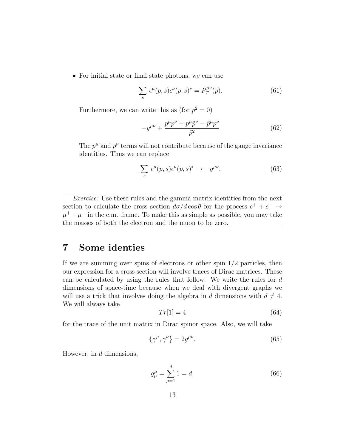• For initial state or final state photons, we can use

$$
\sum_{s} \epsilon^{\mu}(p,s) \epsilon^{\nu}(p,s)^{*} = P_T^{\mu\nu}(p).
$$
 (61)

Furthermore, we can write this as (for  $p^2 = 0$ )

$$
-g^{\mu\nu} + \frac{p^{\mu}p^{\nu} - p^{\mu}\tilde{p}^{\nu} - \tilde{p}^{\mu}p^{\nu}}{\bar{p}^2}
$$
 (62)

The  $p^{\mu}$  and  $p^{\nu}$  terms will not contribute because of the gauge invariance identities. Thus we can replace

$$
\sum_{s} \epsilon^{\mu}(p,s) \epsilon^{\nu}(p,s)^{*} \to -g^{\mu\nu}.
$$
 (63)

Exercise: Use these rules and the gamma matrix identities from the next section to calculate the cross section  $d\sigma/d\cos\theta$  for the process  $e^+ + e^- \rightarrow$  $\mu^+ + \mu^-$  in the c.m. frame. To make this as simple as possible, you may take the masses of both the electron and the muon to be zero.

# 7 Some identies

If we are summing over spins of electrons or other spin  $1/2$  particles, then our expression for a cross section will involve traces of Dirac matrices. These can be calculated by using the rules that follow. We write the rules for d dimensions of space-time because when we deal with divergent graphs we will use a trick that involves doing the algebra in d dimensions with  $d \neq 4$ . We will always take

$$
Tr[1] = 4 \tag{64}
$$

for the trace of the unit matrix in Dirac spinor space. Also, we will take

$$
\{\gamma^{\mu}, \gamma^{\nu}\} = 2g^{\mu\nu}.\tag{65}
$$

However, in  $d$  dimensions,

$$
g_{\mu}^{\mu} = \sum_{\mu=1}^{d} 1 = d.
$$
 (66)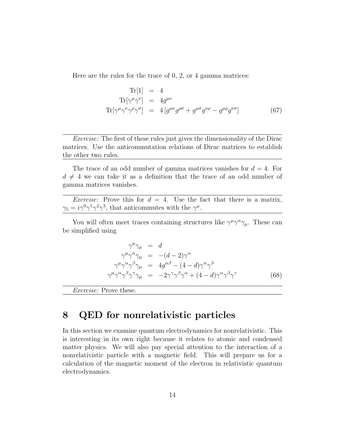Here are the rules for the trace of 0, 2, or 4 gamma matrices:

$$
\text{Tr}[1] = 4
$$
\n
$$
\text{Tr}[\gamma^{\mu}\gamma^{\nu}] = 4g^{\mu\nu}
$$
\n
$$
\text{Tr}[\gamma^{\mu}\gamma^{\nu}\gamma^{\rho}\gamma^{\sigma}] = 4[g^{\mu\nu}g^{\rho\sigma} + g^{\mu\sigma}g^{\nu\rho} - g^{\mu\rho}g^{\nu\sigma}]
$$
\n(67)

Exercise: The first of these rules just gives the dimensionality of the Dirac matrices. Use the anticommutation relations of Dirac matrices to establish the other two rules.

The trace of an odd number of gamma matrices vanishes for  $d = 4$ . For  $d \neq 4$  we can take it as a definition that the trace of an odd number of gamma matrices vanishes.

*Exercise:* Prove this for  $d = 4$ . Use the fact that there is a matrix,  $\gamma_5 = i\gamma^0\gamma^1\gamma^2\gamma^3$ , that anticommutes with the  $\gamma^{\mu}$ .

You will often meet traces containing structures like  $\gamma^{\mu}\gamma^{\alpha}\gamma_{\mu}$ . These can be simplified using

$$
\gamma^{\mu}\gamma_{\mu} = d
$$
  
\n
$$
\gamma^{\mu}\gamma^{\alpha}\gamma_{\mu} = -(d-2)\gamma^{\alpha}
$$
  
\n
$$
\gamma^{\mu}\gamma^{\alpha}\gamma^{\beta}\gamma_{\mu} = 4g^{\alpha\beta} - (4-d)\gamma^{\alpha}\gamma^{\beta}
$$
  
\n
$$
\gamma^{\mu}\gamma^{\alpha}\gamma^{\beta}\gamma^{\gamma}\gamma_{\mu} = -2\gamma^{\gamma}\gamma^{\beta}\gamma^{\alpha} + (4-d)\gamma^{\alpha}\gamma^{\beta}\gamma^{\gamma}
$$
(68)

Exercise: Prove these.

# 8 QED for nonrelativistic particles

In this section we examine quantum electrodynamics for nonrelativistic. This is interesting in its own right because it relates to atomic and condensed matter physics. We will also pay special attention to the interaction of a nonrelativistic particle with a magnetic field. This will prepare us for a calculation of the magnetic moment of the electron in relativistic quantum electrodynamics.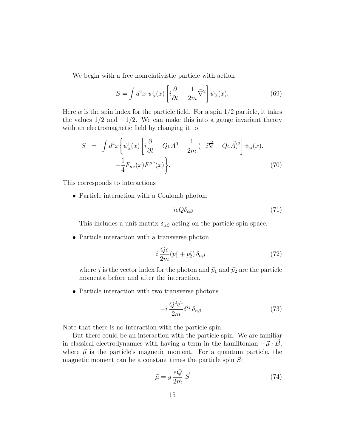We begin with a free nonrelativistic particle with action

$$
S = \int d^4x \; \psi_{\alpha}^{\dagger}(x) \left[ i \frac{\partial}{\partial t} + \frac{1}{2m} \vec{\nabla}^2 \right] \psi_{\alpha}(x). \tag{69}
$$

Here  $\alpha$  is the spin index for the particle field. For a spin 1/2 particle, it takes the values  $1/2$  and  $-1/2$ . We can make this into a gauge invariant theory with an electromagnetic field by changing it to

$$
S = \int d^4x \left\{ \psi_\alpha^\dagger(x) \left[ i \frac{\partial}{\partial t} - Q e A^0 - \frac{1}{2m} \left( -i \vec{\nabla} - Q e \vec{A} \right)^2 \right] \psi_\alpha(x) \right. \\ - \frac{1}{4} F_{\mu\nu}(x) F^{\mu\nu}(x) \right\} . \tag{70}
$$

This corresponds to interactions

• Particle interaction with a Coulomb photon:

$$
-ieQ\delta_{\alpha\beta} \tag{71}
$$

This includes a unit matrix  $\delta_{\alpha\beta}$  acting on the particle spin space.

• Particle interaction with a transverse photon

$$
i\frac{Qe}{2m}(p_1^j + p_2^j)\,\delta_{\alpha\beta} \tag{72}
$$

where j is the vector index for the photon and  $\vec{p}_1$  and  $\vec{p}_2$  are the particle momenta before and after the interaction.

• Particle interaction with two transverse photons

$$
-i\frac{Q^2e^2}{2m}\delta^{ij}\,\delta_{\alpha\beta} \tag{73}
$$

Note that there is no interaction with the particle spin.

But there could be an interaction with the particle spin. We are familiar in classical electrodynamics with having a term in the hamiltonian  $-\vec{\mu} \cdot B$ , where  $\vec{\mu}$  is the particle's magnetic moment. For a quantum particle, the magnetic moment can be a constant times the particle spin  $S$ :

$$
\vec{\mu} = g \frac{eQ}{2m} \vec{S} \tag{74}
$$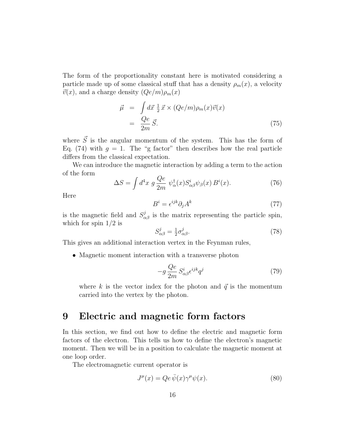The form of the proportionality constant here is motivated considering a particle made up of some classical stuff that has a density  $\rho_m(x)$ , a velocity  $\vec{v}(x)$ , and a charge density  $(Qe/m)\rho_m(x)$ 

$$
\vec{\mu} = \int d\vec{x} \frac{1}{2} \vec{x} \times (Qe/m)\rho_m(x)\vec{v}(x)
$$

$$
= \frac{Qe}{2m} \vec{S}.
$$
(75)

where  $\vec{S}$  is the angular momentum of the system. This has the form of Eq. (74) with  $g = 1$ . The "g factor" then describes how the real particle differs from the classical expectation.

We can introduce the magnetic interaction by adding a term to the action of the form

$$
\Delta S = \int d^4x \ g \frac{Qe}{2m} \ \psi^{\dagger}_{\alpha}(x) S^i_{\alpha\beta} \psi_{\beta}(x) B^i(x). \tag{76}
$$

Here

$$
B^i = \epsilon^{ijk} \partial_j A^k \tag{77}
$$

is the magnetic field and  $S_{\alpha\beta}^{j}$  is the matrix representing the particle spin, which for spin  $1/2$  is

$$
S_{\alpha\beta}^j = \frac{1}{2}\sigma_{\alpha\beta}^j. \tag{78}
$$

This gives an additional interaction vertex in the Feynman rules,

• Magnetic moment interaction with a transverse photon

$$
-g\frac{Qe}{2m}S^i_{\alpha\beta}\epsilon^{ijk}q^j\tag{79}
$$

where k is the vector index for the photon and  $\vec{q}$  is the momentum carried into the vertex by the photon.

# 9 Electric and magnetic form factors

In this section, we find out how to define the electric and magnetic form factors of the electron. This tells us how to define the electron's magnetic moment. Then we will be in a position to calculate the magnetic moment at one loop order.

The electromagnetic current operator is

$$
J^{\mu}(x) = Qe \,\overline{\psi}(x)\gamma^{\mu}\psi(x). \tag{80}
$$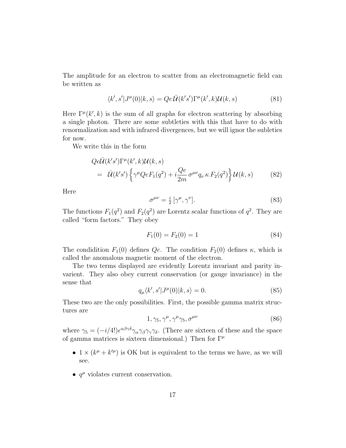The amplitude for an electron to scatter from an electromagnetic field can be written as

$$
\langle k', s'|J^{\mu}(0)|k, s\rangle = Qe\overline{\mathcal{U}}(k's')\Gamma^{\mu}(k',k)\mathcal{U}(k,s)
$$
\n(81)

Here  $\Gamma^{\mu}(k',k)$  is the sum of all graphs for electron scattering by absorbing a single photon. There are some subtleties with this that have to do with renormalization and with infrared divergences, but we will ignor the subleties for now.

We write this in the form

$$
Qe\overline{\mathcal{U}}(k's')\Gamma^{\mu}(k',k)\mathcal{U}(k,s)
$$
  
=  $\overline{\mathcal{U}}(k's')\left\{\gamma^{\mu}QeF_1(q^2) + i\frac{Qe}{2m}\sigma^{\mu\nu}q_{\nu}\kappa F_2(q^2)\right\}\mathcal{U}(k,s)$  (82)

Here

$$
\sigma^{\mu\nu} = \frac{i}{2} \left[ \gamma^{\mu}, \gamma^{\nu} \right]. \tag{83}
$$

The functions  $F_1(q^2)$  and  $F_2(q^2)$  are Lorentz scalar functions of  $q^2$ . They are called "form factors." They obey

$$
F_1(0) = F_2(0) = 1 \tag{84}
$$

The condidition  $F_1(0)$  defines Qe. The condition  $F_2(0)$  defines  $\kappa$ , which is called the anomalous magnetic moment of the electron.

The two terms displayed are evidently Lorentz invariant and parity invarient. They also obey current conservation (or gauge invariance) in the sense that

$$
q_{\mu}\langle k', s'|J^{\mu}(0)|k, s\rangle = 0.
$$
\n(85)

These two are the only possibilities. First, the possible gamma matrix structures are

$$
1, \gamma_5, \gamma^{\mu}, \gamma^{\mu}\gamma_5, \sigma^{\mu\nu} \tag{86}
$$

where  $\gamma_5 = (-i/4!) \epsilon^{\alpha\beta\gamma\delta} \gamma_\alpha \gamma_\beta \gamma_\gamma \gamma_\delta$ . (There are sixteen of these and the space of gamma matrices is sixteen dimensional.) Then for  $\Gamma^{\mu}$ 

- $1 \times (k^{\mu} + k^{\prime \mu})$  is OK but is equivalent to the terms we have, as we will see.
- $q^{\mu}$  violates current conservation.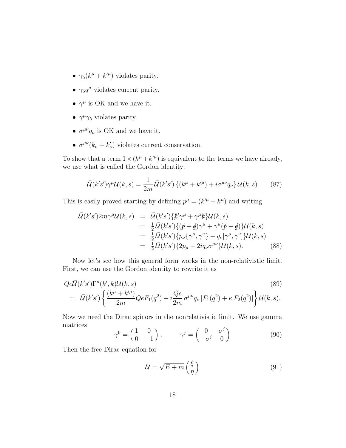- $\gamma_5(k^{\mu}+k^{\prime\mu})$  violates parity.
- $\gamma_5 q^{\mu}$  violates current parity.
- $\gamma^{\mu}$  is OK and we have it.
- $\gamma^{\mu}\gamma_5$  violates parity.
- $\sigma^{\mu\nu}q_{\nu}$  is OK and we have it.
- $\sigma^{\mu\nu}(k_{\nu} + k'_{\nu})$  violates current conservation.

To show that a term  $1 \times (k^{\mu} + k^{\prime \mu})$  is equivalent to the terms we have already, we use what is called the Gordon identity:

$$
\bar{\mathcal{U}}(k's')\gamma^{\mu}\mathcal{U}(k,s) = \frac{1}{2m}\bar{\mathcal{U}}(k's')\left\{(k^{\mu} + k'^{\mu}) + i\sigma^{\mu\nu}q_{\nu}\right\}\mathcal{U}(k,s) \tag{87}
$$

This is easily proved starting by defining  $p^{\mu} = (k^{\prime \mu} + k^{\mu})$  and writing

$$
\bar{\mathcal{U}}(k's')2m\gamma^{\mu}\mathcal{U}(k,s) = \bar{\mathcal{U}}(k's')\{k'\gamma^{\mu} + \gamma^{\mu}k\}\mathcal{U}(k,s)
$$
\n
$$
= \frac{1}{2}\bar{\mathcal{U}}(k's')\{(\not p + \not q)\gamma^{\mu} + \gamma^{\mu}(\not p - \not q)\}\mathcal{U}(k,s)
$$
\n
$$
= \frac{1}{2}\bar{\mathcal{U}}(k's')\{p_{\nu}\{\gamma^{\mu}, \gamma^{\nu}\} - q_{\nu}[\gamma^{\mu}, \gamma^{\nu}]\}\mathcal{U}(k,s)
$$
\n
$$
= \frac{1}{2}\bar{\mathcal{U}}(k's')\{2p_{\mu} + 2iq_{\nu}\sigma^{\mu\nu}\}\mathcal{U}(k,s).
$$
\n(88)

Now let's see how this general form works in the non-relativistic limit. First, we can use the Gordon identity to rewrite it as

$$
Qe\bar{\mathcal{U}}(k's')\Gamma^{\mu}(k',k)\mathcal{U}(k,s)
$$
\n
$$
= \bar{\mathcal{U}}(k's')\left\{\frac{(k^{\mu}+k'^{\mu})}{2m}QeF_{1}(q^{2})+i\frac{Qe}{2m}\sigma^{\mu\nu}q_{\nu}\left[F_{1}(q^{2})+\kappa F_{2}(q^{2})\right]\right\}\mathcal{U}(k,s).
$$
\n(89)

Now we need the Dirac spinors in the nonrelativistic limit. We use gamma matrices  $1$  0

$$
\gamma^0 = \begin{pmatrix} 1 & 0 \\ 0 & -1 \end{pmatrix}, \qquad \gamma^j = \begin{pmatrix} 0 & \sigma^j \\ -\sigma^j & 0 \end{pmatrix}
$$
 (90)

Then the free Dirac equation for

$$
\mathcal{U} = \sqrt{E + m} \begin{pmatrix} \xi \\ \eta \end{pmatrix} \tag{91}
$$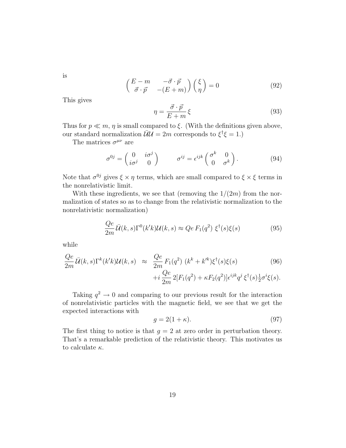is

$$
\begin{pmatrix} E - m & -\vec{\sigma} \cdot \vec{p} \\ \vec{\sigma} \cdot \vec{p} & -(E + m) \end{pmatrix} \begin{pmatrix} \xi \\ \eta \end{pmatrix} = 0 \tag{92}
$$

This gives

$$
\eta = \frac{\vec{\sigma} \cdot \vec{p}}{E + m} \xi \tag{93}
$$

Thus for  $p \ll m$ ,  $\eta$  is small compared to  $\xi$ . (With the definitions given above, our standard normalization  $\bar{\mathcal{U}}\mathcal{U} = 2m$  corresponds to  $\xi^{\dagger}\xi = 1$ .)

The matrices  $\sigma^{\mu\nu}$  are

$$
\sigma^{0j} = \begin{pmatrix} 0 & i\sigma^j \\ i\sigma^j & 0 \end{pmatrix} \qquad \sigma^{ij} = \epsilon^{ijk} \begin{pmatrix} \sigma^k & 0 \\ 0 & \sigma^k \end{pmatrix}.
$$
 (94)

Note that  $\sigma^{0j}$  gives  $\xi \times \eta$  terms, which are small compared to  $\xi \times \xi$  terms in the nonrelativistic limit.

With these ingredients, we see that (removing the  $1/(2m)$  from the normalization of states so as to change from the relativistic normalization to the nonrelativistic normalization)

$$
\frac{Qe}{2m}\bar{U}(k,s)\Gamma^{0}(k'k)\mathcal{U}(k,s) \approx Qe F_{1}(q^{2}) \xi^{\dagger}(s)\xi(s)
$$
\n(95)

while

$$
\frac{Qe}{2m}\overline{\mathcal{U}}(k,s)\Gamma^{k}(k'k)\mathcal{U}(k,s) \approx \frac{Qe}{2m}F_{1}(q^{2})\left(k^{k}+k'^{k}\right)\xi^{\dagger}(s)\xi(s) \tag{96}
$$

$$
+i\frac{Qe}{2m}2[F_{1}(q^{2})+\kappa F_{2}(q^{2})]\epsilon^{ijk}q^{j}\xi^{\dagger}(s)\frac{1}{2}\sigma^{i}\xi(s).
$$

Taking  $q^2 \to 0$  and comparing to our previous result for the interaction of nonrelativistic particles with the magnetic field, we see that we get the expected interactions with

$$
g = 2(1 + \kappa). \tag{97}
$$

The first thing to notice is that  $g = 2$  at zero order in perturbation theory. That's a remarkable prediction of the relativistic theory. This motivates us to calculate  $\kappa$ .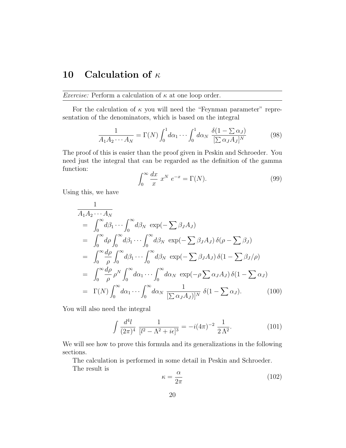# 10 Calculation of  $\kappa$

*Exercise:* Perform a calculation of  $\kappa$  at one loop order.

For the calculation of  $\kappa$  you will need the "Feynman parameter" representation of the denominators, which is based on the integral

$$
\frac{1}{A_1 A_2 \cdots A_N} = \Gamma(N) \int_0^1 d\alpha_1 \cdots \int_0^1 d\alpha_N \frac{\delta(1 - \sum \alpha_J)}{[\sum \alpha_J A_J]^N}
$$
(98)

The proof of this is easier than the proof given in Peskin and Schroeder. You need just the integral that can be regarded as the definition of the gamma function:

$$
\int_0^\infty \frac{dx}{x} x^N e^{-x} = \Gamma(N). \tag{99}
$$

Using this, we have

$$
\frac{1}{A_1 A_2 \cdots A_N} \n= \int_0^\infty d\beta_1 \cdots \int_0^\infty d\beta_N \exp(-\sum \beta_J A_J) \n= \int_0^\infty d\rho \int_0^\infty d\beta_1 \cdots \int_0^\infty d\beta_N \exp(-\sum \beta_J A_J) \delta(\rho - \sum \beta_J) \n= \int_0^\infty \frac{d\rho}{\rho} \int_0^\infty d\beta_1 \cdots \int_0^\infty d\beta_N \exp(-\sum \beta_J A_J) \delta(1 - \sum \beta_J/\rho) \n= \int_0^\infty \frac{d\rho}{\rho} \rho^N \int_0^\infty d\alpha_1 \cdots \int_0^\infty d\alpha_N \exp(-\rho \sum \alpha_J A_J) \delta(1 - \sum \alpha_J) \n= \Gamma(N) \int_0^\infty d\alpha_1 \cdots \int_0^\infty d\alpha_N \frac{1}{[\sum \alpha_J A_J)]^N} \delta(1 - \sum \alpha_J).
$$
\n(100)

You will also need the integral

$$
\int \frac{d^4l}{(2\pi)^4} \frac{1}{[l^2 - \Lambda^2 + i\epsilon]^3} = -i(4\pi)^{-2} \frac{1}{2\Lambda^2}.
$$
 (101)

We will see how to prove this formula and its generalizations in the following sections.

The calculation is performed in some detail in Peskin and Schroeder.

The result is

$$
\kappa = \frac{\alpha}{2\pi} \tag{102}
$$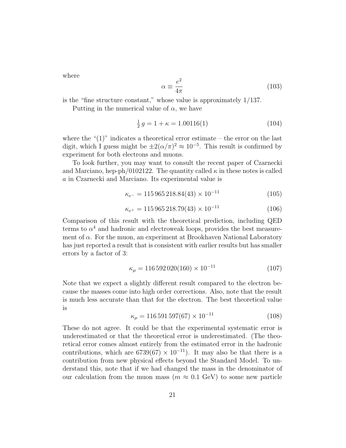where

$$
\alpha \equiv \frac{e^2}{4\pi} \tag{103}
$$

is the "fine structure constant," whose value is approximately 1/137.

Putting in the numerical value of  $\alpha$ , we have

$$
\frac{1}{2}g = 1 + \kappa = 1.00116(1) \tag{104}
$$

where the " $(1)$ " indicates a theoretical error estimate – the error on the last digit, which I guess might be  $\pm 2(\alpha/\pi)^2 \approx 10^{-5}$ . This result is confirmed by experiment for both electrons and muons.

To look further, you may want to consult the recent paper of Czarnecki and Marciano, hep-ph/0102122. The quantity called  $\kappa$  in these notes is called a in Czarnecki and Marciano. Its experimental value is

$$
\kappa_{e^-} = 115\,965\,218.84(43) \times 10^{-11} \tag{105}
$$

$$
\kappa_{e^+} = 115\,965\,218.79(43) \times 10^{-11} \tag{106}
$$

Comparison of this result with the theoretical prediction, including QED terms to  $\alpha^4$  and hadronic and electroweak loops, provides the best measurement of  $\alpha$ . For the muon, an experiment at Brookhaven National Laboratory has just reported a result that is consistent with earlier results but has smaller errors by a factor of 3:

$$
\kappa_{\mu} = 116\,592\,020(160) \times 10^{-11} \tag{107}
$$

Note that we expect a slightly different result compared to the electron because the masses come into high order corrections. Also, note that the result is much less accurate than that for the electron. The best theoretical value is

$$
\kappa_{\mu} = 116\,591\,597(67) \times 10^{-11} \tag{108}
$$

These do not agree. It could be that the experimental systematic error is underestimated or that the theoretical error is underestimated. (The theoretical error comes almost entirely from the estimated error in the hadronic contributions, which are 6739(67) × 10<sup>-11</sup>). It may also be that there is a contribution from new physical effects beyond the Standard Model. To understand this, note that if we had changed the mass in the denominator of our calculation from the muon mass ( $m \approx 0.1$  GeV) to some new particle